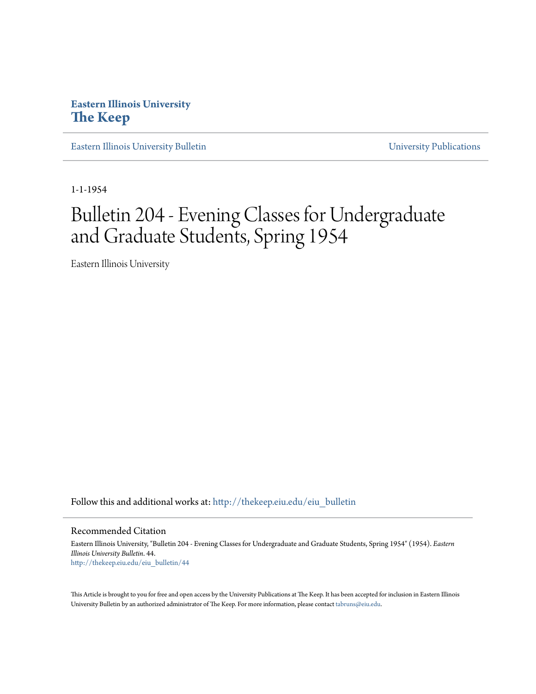### **Eastern Illinois University [The Keep](http://thekeep.eiu.edu?utm_source=thekeep.eiu.edu%2Feiu_bulletin%2F44&utm_medium=PDF&utm_campaign=PDFCoverPages)**

[Eastern Illinois University Bulletin](http://thekeep.eiu.edu/eiu_bulletin?utm_source=thekeep.eiu.edu%2Feiu_bulletin%2F44&utm_medium=PDF&utm_campaign=PDFCoverPages) View Contractions [University Publications](http://thekeep.eiu.edu/eiu_pubs?utm_source=thekeep.eiu.edu%2Feiu_bulletin%2F44&utm_medium=PDF&utm_campaign=PDFCoverPages)

1-1-1954

# Bulletin 204 - Evening Classes for Undergraduate and Graduate Students, Spring 1954

Eastern Illinois University

Follow this and additional works at: [http://thekeep.eiu.edu/eiu\\_bulletin](http://thekeep.eiu.edu/eiu_bulletin?utm_source=thekeep.eiu.edu%2Feiu_bulletin%2F44&utm_medium=PDF&utm_campaign=PDFCoverPages)

Recommended Citation

Eastern Illinois University, "Bulletin 204 - Evening Classes for Undergraduate and Graduate Students, Spring 1954" (1954). *Eastern Illinois University Bulletin*. 44. [http://thekeep.eiu.edu/eiu\\_bulletin/44](http://thekeep.eiu.edu/eiu_bulletin/44?utm_source=thekeep.eiu.edu%2Feiu_bulletin%2F44&utm_medium=PDF&utm_campaign=PDFCoverPages)

This Article is brought to you for free and open access by the University Publications at The Keep. It has been accepted for inclusion in Eastern Illinois University Bulletin by an authorized administrator of The Keep. For more information, please contact [tabruns@eiu.edu.](mailto:tabruns@eiu.edu)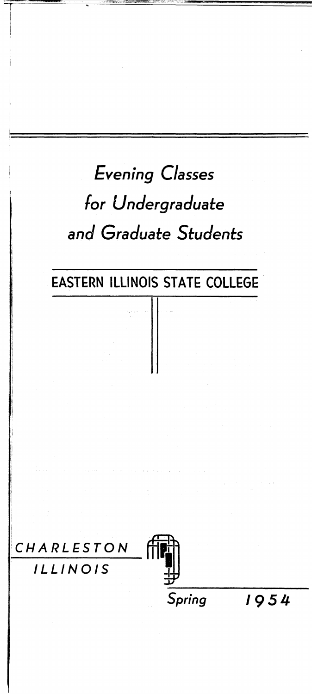# *Evening Classes for Undergraduate and Graduate Students*

## EASTERN ILLINOIS STATE COLLEGE

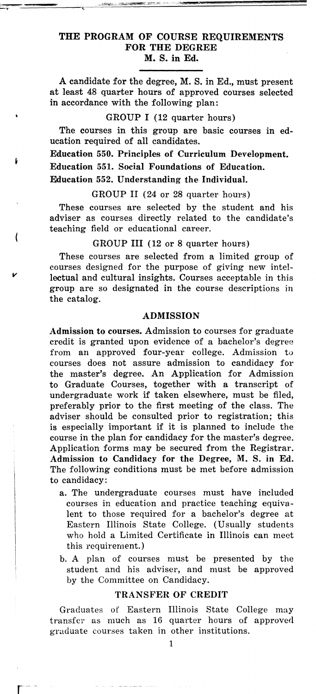#### THE PROGRAM OF COURSE REQUIREMENTS FOR THE DEGREE M.S. in Ed.

A candidate for the degree, M. S. in Ed., must present at least 48 quarter hours of approved courses selected in accordance with the following plan:

#### GROUP I (12 quarter hours)

The courses in this group are basic courses in education required of all candidates.

Education 550. Principles of Curriculum Development.

Education 551. Social Foundations of Education.

Education 552. Understanding the Individual.

*v* 

r·

GROUP II (24 or 28 quarter hours)

These courses are selected by the student and his adviser as courses directly related to the candidate's teaching field or educational career.

#### GROUP III (12 or 8 quarter hours)

These courses are selected from a limited group of courses designed for the purpose of giving new intellectual and cultural insights. Courses acceptable in this group are so designated in the course descriptions in the catalog.

#### ADMISSION

Admission to courses. Admission to courses for graduate credit is granted upon evidence of a bachelor's degree from an approved four-year college. Admission to courses does not assure admission to candidacy for the master's degree. An Application for Admission to Graduate Courses, together with a transcript of undergraduate work if taken elsewhere, must be filed, preferably prior to the first meeting of the class. The adviser should be consulted prior to registration; this is especially important if it is planned to include the course in the plan for candidacy for the master's degree. Application forms may be secured from the Registrar. Admission to Candidacy for the Degree, M. S. in Ed. The following conditions must be met before admission to candidacy:

- a. The undergraduate courses must have included courses in education and practice teaching equivalent to those required for a bachelor's degree at Eastern Illinois State College. (Usually students who hold a Limited Certificate in Illinois can meet this requirement.)
- b. A plan of courses must be presented by the student and his adviser, and must be approved by the Committee on Candidacy.

#### TRANSFER OF CREDIT

Graduates of Eastern Illinois State College may transfer as much as 16 quarter hours of approved graduate eourses taken in other institutions.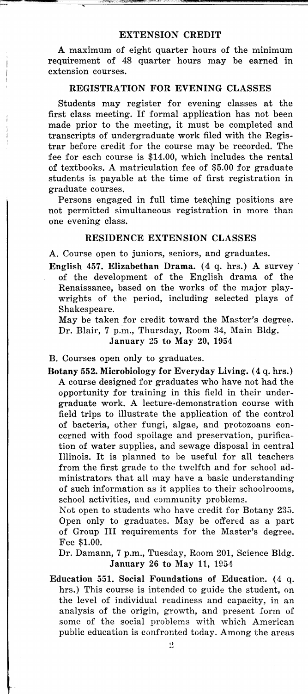#### EXTENSION CREDIT

A maximum of eight quarter hours of the minimum requirement of 48 quarter hours may be earned in extension courses.

#### REGISTRATION FOR EVENING CLASSES

Students may register for evening classes at the first class meeting. If formal application has not been made prior to the meeting, it must be completed and transcripts of undergraduate work filed with the Registrar before credit for the course may be recorded. The fee for each course is \$14.00, which includes the rental of textbooks. A matriculation fee of \$5.00 for graduate students is payable at the time of first registration in graduate courses.

Persons engaged in full time teaching positions are not permitted simultaneous registration in more than one evening class.

#### RESIDENCE EXTENSION CLASSES

A. Course open to juniors, seniors, and graduates.

English 457. Elizabethan Drama. (4 q. hrs.) A survey of the development of the English drama of the Renaissance, based on the works of the major playwrights of the period, including selected plays of Shakespeare.

May be taken for credit toward the Master's degree. Dr. Blair, 7 p.m., Thursday, Room 34, Main Bldg. January 25 to May 20, 1954

B. Courses open only to graduates.

Botany 552. Microbiology for Everyday Living. (4 q. hrs.) A course designed for graduates who have not had the opportunity for training in this field in their undergraduate work. A lecture-demonstration course with field trips to illustrate the application of the control of bacteria, other fungi, algae, and protozoans concerned with food spoilage and preservation, purification of water supplies, and sewage disposal in central Illinois. It is planned to be useful for all teachers from the first grade to the twelfth and for school administrators that all may have a basic understanding of such information as it applies to their schoolrooms, school activities, and community problems.

Not open to students who have credit for Botany 235. Open only to graduates. May be offered as a part of Group Ill requirements for the Master's degree. Fee \$1.00.

Dr. Damann, 7 p.m., Tuesday, Room 201, Science Bldg. January 26 to May 11, 1954

Education 551. Social Foundations of Education. (4 q. hrs.) This course is intended to guide the student, on the level of individual readiness and capacity, in an analysis of the origin, growth, and present form of some of the social problems with which American public education is confronted today. Among the areas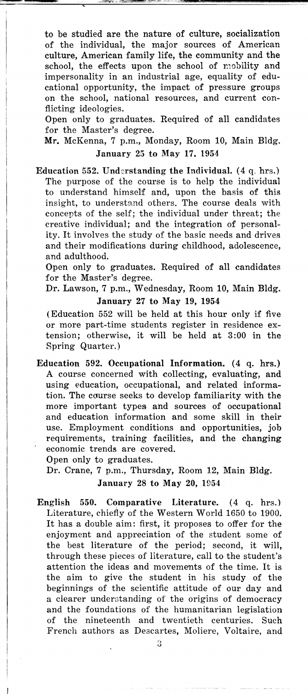to be studied are the nature of culture, socialization of the individual, the major sources of American culture, American family life, the community and the school, the effects upon the school of mobility and impersonality in an industrial age, equality of educational opportunity, the impact of pressure groups on the school, national resources, and current conflicting ideologies.

Open only to graduates. Required of all candidates for the Master's degree.

Mr. McKenna, 7 p.m., Monday, Room 10, Main Bldg. January 25 to May 17. 1954

Education 552. Understanding the Individual.  $(4 \text{ q. hrs.})$ The purpose of the course is to help the individual to understand himself and, upon the basis of this insight, to understand others. The course deals with concepts of the self; the individual under threat; the creative individual; and the integration of personality. It involves the study of the basic needs and drives and their modifications during childhood, adolescence, and adulthood.

Open only to graduates. Required of all candidates for the Master's degree.

Dr. Lawson, 7 p.m., Wednesday, Room 10, Main Bldg. January 27 to May 19, 1954

(Education 552 will be held at this hour only if five or more part-time students register in residence extension; otherwise, it will be held at 3:00 in the Spring Quarter.)

Education 592. Occupational Information. (4 q. hrs.) A course concerned with collecting, evaluating, and using education, occupational, and related information. The course seeks to develop familiarity with the more important types and sources of occupational and education information and some skill in their use. Employment conditions and opportunities, job requirements, training facilities, and the changing economic trends are covered.

Open only to graduates.

Dr. Crane, 7 p.m., Thursday, Room 12, Main Bldg. January 28 to May 20, 1954

English 550. Comparative Literature. (4 q. hrs.) Literature, chiefly of the Western World 1650 to 1900. It has a double aim: first, it proposes to offer for the enjoyment and appreciation of the student some of the best literature of the period; second, it will, through these pieces of literature, call to the student's attention the ideas and movements of the time. It is the aim to give the student in his study of the beginnings of the scientific attitude of our day and a clearer understanding of the origins of democracy and the foundations of the humanitarian legislation of the nineteenth and twentieth centuries. Such French authors as Descartes, Moliere, Voltaire, and

3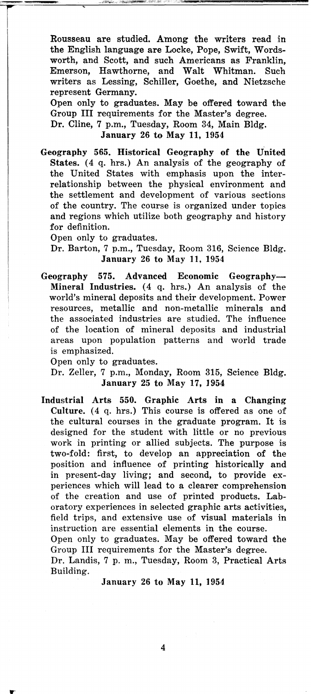Rousseau are studied. Among the writers read in the English language are Locke, Pope, Swift, Wordsworth, and Scott, and such Americans as Franklin, Emerson, Hawthorne, and Walt Whitman. Such writers as Lessing, Schiller, Goethe, and Nietzsche represent Germany.

Open only to graduates. May be offered toward the Group III requirements for the Master's degree. Dr. Cline, 7 p.m., Tuesday, Room 34, Main Bldg.

January 26 to May 11, 1954

Geography 565. Historical Geography of the United States. (4 q. hrs.) An analysis of the geography of the United States with emphasis upon the interrelationship between the physical environment and the settlement and development of various sections of the country. The course is organized under topics and regions which utilize both geography and history for definition.

Open only to graduates.

r

Dr. Barton, 7 p.m., Tuesday, Room 316, Science Bldg. January 26 to May 11, 1954

Geography 575. Advanced Economic Geography-Mineral Industries.  $(4 \t q. hrs.)$  An analysis of the world's mineral deposits and their development. Power resources, metallic and non-metallic minerals and the associated industries are studied. The influence of the location of mineral deposits and industrial areas upon population patterns and world trade is emphasized.

Open only to graduates.

Dr. Zeller, 7 p.m., Monday, Room 315, Science Bldg. January 25 to May 17, 1954

Industrial Arts 550. Graphic Arts in a Changing Culture. (4 q. hrs.) This course is offered as one of the cultural courses in the graduate program. It is designed for the student with little or no previous work in printing or allied subjects. The purpose is two-fold: first, to develop an appreciation of the position and influence of printing historically and in present-day living; and second, to provide experiences which will lead to a clearer comprehension of the creation and use of printed products. Laboratory experiences in selected graphic arts activities, field trips, and extensive use of visual materials in instruction are essential elements in the course. Open only to graduates. May be offered toward the Group III requirements for the Master's degree.

Dr. Landis, 7 p. m., Tuesday, Room 3, Practical Arts Building.

January 26 to May 11, 1954